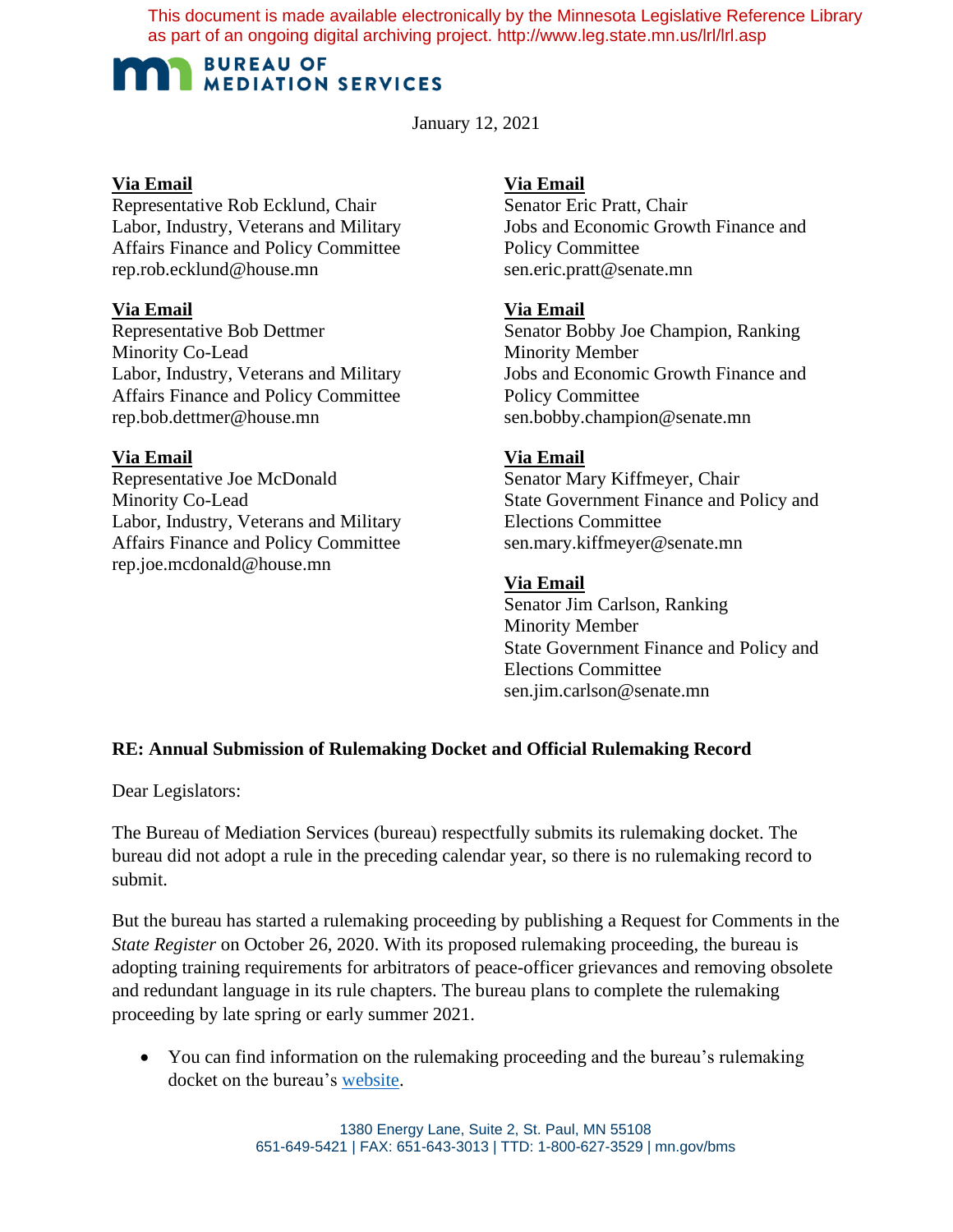This document is made available electronically by the Minnesota Legislative Reference Library as part of an ongoing digital archiving project. http://www.leg.state.mn.us/lrl/lrl.asp

# **BUREAU OF MEDIATION SERVICES**

January 12, 2021

# **Via Email**

Representative Rob Ecklund, Chair Labor, Industry, Veterans and Military Affairs Finance and Policy Committee rep.rob.ecklund@house.mn

# **Via Email**

Representative Bob Dettmer Minority Co-Lead Labor, Industry, Veterans and Military Affairs Finance and Policy Committee rep.bob.dettmer@house.mn

# **Via Email**

Representative Joe McDonald Minority Co-Lead Labor, Industry, Veterans and Military Affairs Finance and Policy Committee rep.joe.mcdonald@house.mn

# **Via Email**

Senator Eric Pratt, Chair Jobs and Economic Growth Finance and Policy Committee sen.eric.pratt@senate.mn

## **Via Email**

Senator Bobby Joe Champion, Ranking Minority Member Jobs and Economic Growth Finance and Policy Committee sen.bobby.champion@senate.mn

## **Via Email**

Senator Mary Kiffmeyer, Chair State Government Finance and Policy and Elections Committee sen.mary.kiffmeyer@senate.mn

## **Via Email**

Senator Jim Carlson, Ranking Minority Member State Government Finance and Policy and Elections Committee sen.jim.carlson@senate.mn

# **RE: Annual Submission of Rulemaking Docket and Official Rulemaking Record**

Dear Legislators:

The Bureau of Mediation Services (bureau) respectfully submits its rulemaking docket. The bureau did not adopt a rule in the preceding calendar year, so there is no rulemaking record to submit.

But the bureau has started a rulemaking proceeding by publishing a Request for Comments in the *State Register* on October 26, 2020. With its proposed rulemaking proceeding, the bureau is adopting training requirements for arbitrators of peace-officer grievances and removing obsolete and redundant language in its rule chapters. The bureau plans to complete the rulemaking proceeding by late spring or early summer 2021.

• You can find information on the rulemaking proceeding and the bureau's rulemaking docket on the bureau's website.